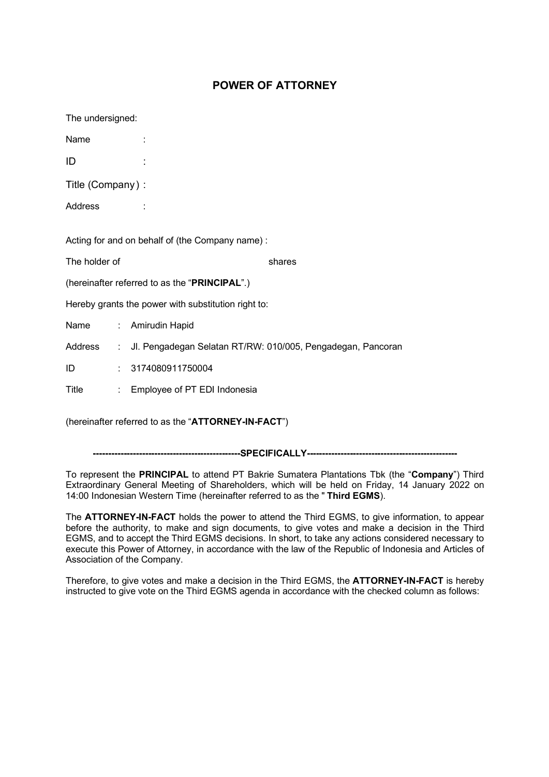## **POWER OF ATTORNEY**

The undersigned:

Name :

ID :

Title (Company) :

Address :

Acting for and on behalf of (the Company name) :

The holder of **Example 20** shares

(hereinafter referred to as the "**PRINCIPAL**".)

Hereby grants the power with substitution right to:

Name : Amirudin Hapid

Address : Jl. Pengadegan Selatan RT/RW: 010/005, Pengadegan, Pancoran

ID : 3174080911750004

Title : Employee of PT EDI Indonesia

(hereinafter referred to as the "**ATTORNEY-IN-FACT**")

**------------------------------------------------SPECIFICALLY-------------------------------------------------**

To represent the **PRINCIPAL** to attend PT Bakrie Sumatera Plantations Tbk (the "**Company**") Third Extraordinary General Meeting of Shareholders, which will be held on Friday, 14 January 2022 on 14:00 Indonesian Western Time (hereinafter referred to as the " **Third EGMS**).

The **ATTORNEY-IN-FACT** holds the power to attend the Third EGMS, to give information, to appear before the authority, to make and sign documents, to give votes and make a decision in the Third EGMS, and to accept the Third EGMS decisions. In short, to take any actions considered necessary to execute this Power of Attorney, in accordance with the law of the Republic of Indonesia and Articles of Association of the Company.

Therefore, to give votes and make a decision in the Third EGMS, the **ATTORNEY-IN-FACT** is hereby instructed to give vote on the Third EGMS agenda in accordance with the checked column as follows: